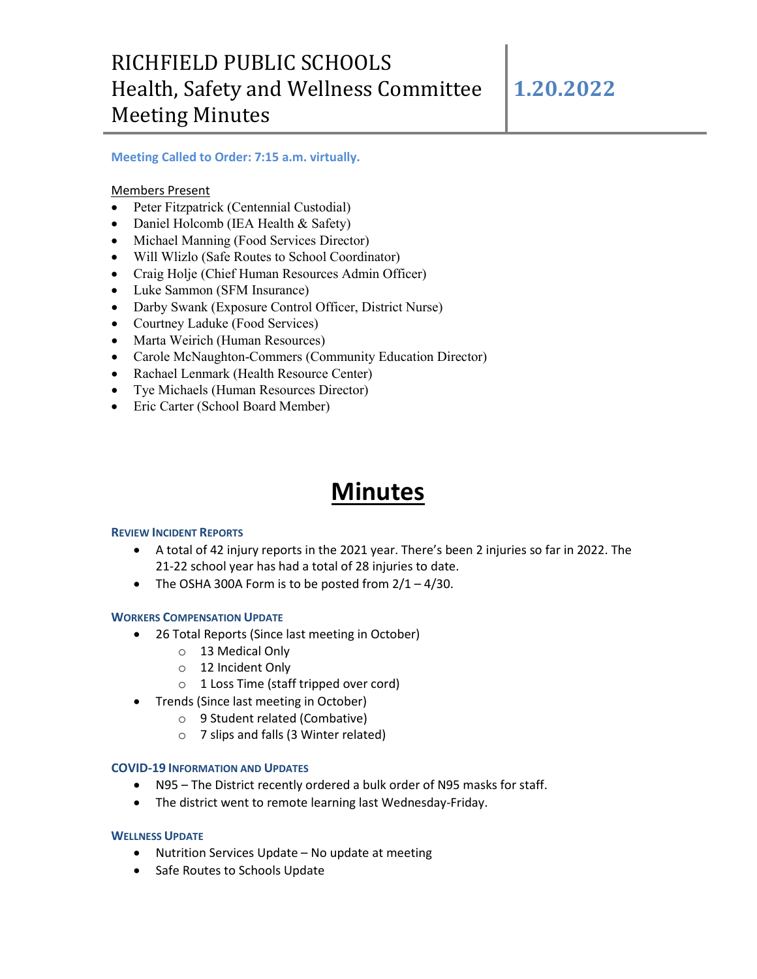# RICHFIELD PUBLIC SCHOOLS Health, Safety and Wellness Committee Meeting Minutes

### **Meeting Called to Order: 7:15 a.m. virtually.**

Members Present

- Peter Fitzpatrick (Centennial Custodial)
- Daniel Holcomb (IEA Health & Safety)
- Michael Manning (Food Services Director)
- Will Wlizlo (Safe Routes to School Coordinator)
- Craig Holje (Chief Human Resources Admin Officer)
- Luke Sammon (SFM Insurance)
- Darby Swank (Exposure Control Officer, District Nurse)
- Courtney Laduke (Food Services)
- Marta Weirich (Human Resources)
- Carole McNaughton-Commers (Community Education Director)
- Rachael Lenmark (Health Resource Center)
- Tye Michaels (Human Resources Director)
- Eric Carter (School Board Member)

# **Minutes**

#### **REVIEW INCIDENT REPORTS**

- A total of 42 injury reports in the 2021 year. There's been 2 injuries so far in 2022. The 21-22 school year has had a total of 28 injuries to date.
- The OSHA 300A Form is to be posted from  $2/1 4/30$ .

#### **WORKERS COMPENSATION UPDATE**

- 26 Total Reports (Since last meeting in October)
	- o 13 Medical Only
	- o 12 Incident Only
	- o 1 Loss Time (staff tripped over cord)
- Trends (Since last meeting in October)
	- o 9 Student related (Combative)
	- o 7 slips and falls (3 Winter related)

#### **COVID-19 INFORMATION AND UPDATES**

- N95 The District recently ordered a bulk order of N95 masks for staff.
- The district went to remote learning last Wednesday-Friday.

#### **WELLNESS UPDATE**

- Nutrition Services Update No update at meeting
- Safe Routes to Schools Update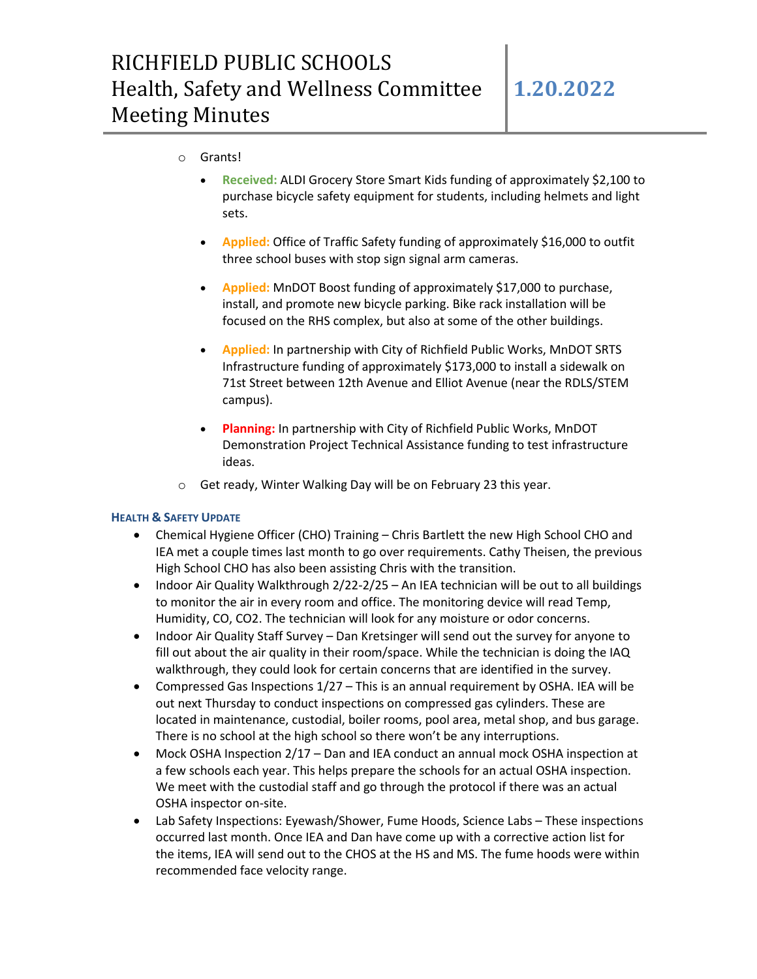### o Grants!

- **Received:** ALDI Grocery Store Smart Kids funding of approximately \$2,100 to purchase bicycle safety equipment for students, including helmets and light sets.
- **Applied:** Office of Traffic Safety funding of approximately \$16,000 to outfit three school buses with stop sign signal arm cameras.
- **Applied:** MnDOT Boost funding of approximately \$17,000 to purchase, install, and promote new bicycle parking. Bike rack installation will be focused on the RHS complex, but also at some of the other buildings.
- **Applied:** In partnership with City of Richfield Public Works, MnDOT SRTS Infrastructure funding of approximately \$173,000 to install a sidewalk on 71st Street between 12th Avenue and Elliot Avenue (near the RDLS/STEM campus).
- **Planning:** In partnership with City of Richfield Public Works, MnDOT Demonstration Project Technical Assistance funding to test infrastructure ideas.
- o Get ready, Winter Walking Day will be on February 23 this year.

#### **HEALTH & SAFETY UPDATE**

- Chemical Hygiene Officer (CHO) Training Chris Bartlett the new High School CHO and IEA met a couple times last month to go over requirements. Cathy Theisen, the previous High School CHO has also been assisting Chris with the transition.
- Indoor Air Quality Walkthrough 2/22-2/25 An IEA technician will be out to all buildings to monitor the air in every room and office. The monitoring device will read Temp, Humidity, CO, CO2. The technician will look for any moisture or odor concerns.
- Indoor Air Quality Staff Survey Dan Kretsinger will send out the survey for anyone to fill out about the air quality in their room/space. While the technician is doing the IAQ walkthrough, they could look for certain concerns that are identified in the survey.
- Compressed Gas Inspections 1/27 This is an annual requirement by OSHA. IEA will be out next Thursday to conduct inspections on compressed gas cylinders. These are located in maintenance, custodial, boiler rooms, pool area, metal shop, and bus garage. There is no school at the high school so there won't be any interruptions.
- Mock OSHA Inspection 2/17 Dan and IEA conduct an annual mock OSHA inspection at a few schools each year. This helps prepare the schools for an actual OSHA inspection. We meet with the custodial staff and go through the protocol if there was an actual OSHA inspector on-site.
- Lab Safety Inspections: Eyewash/Shower, Fume Hoods, Science Labs These inspections occurred last month. Once IEA and Dan have come up with a corrective action list for the items, IEA will send out to the CHOS at the HS and MS. The fume hoods were within recommended face velocity range.